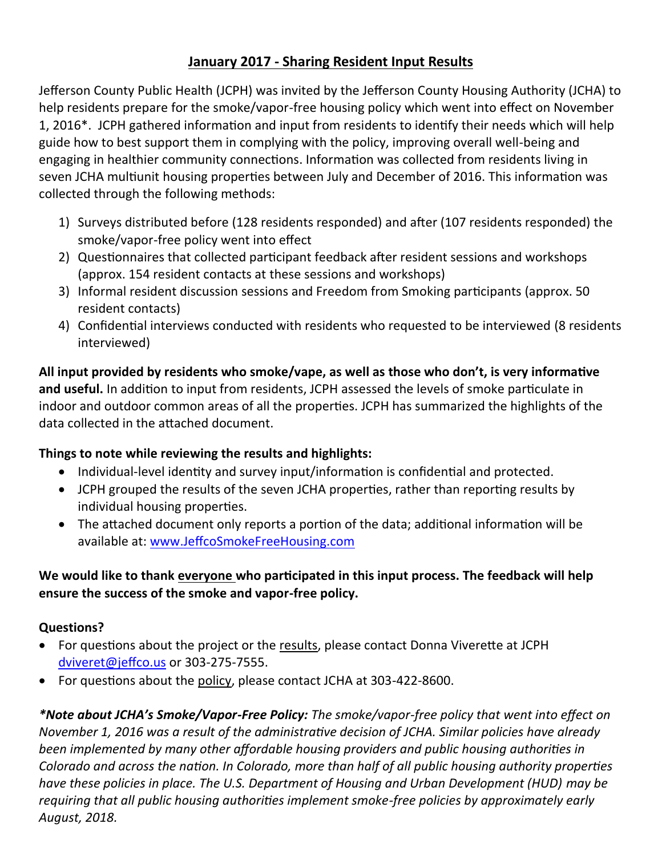# **January 2017 - Sharing Resident Input Results**

Jefferson County Public Health (JCPH) was invited by the Jefferson County Housing Authority (JCHA) to help residents prepare for the smoke/vapor-free housing policy which went into effect on November 1, 2016\*. JCPH gathered information and input from residents to identify their needs which will help guide how to best support them in complying with the policy, improving overall well-being and engaging in healthier community connections. Information was collected from residents living in seven JCHA multiunit housing properties between July and December of 2016. This information was collected through the following methods:

- 1) Surveys distributed before (128 residents responded) and after (107 residents responded) the smoke/vapor-free policy went into effect
- 2) Questionnaires that collected participant feedback after resident sessions and workshops (approx. 154 resident contacts at these sessions and workshops)
- 3) Informal resident discussion sessions and Freedom from Smoking participants (approx. 50 resident contacts)
- 4) Confidential interviews conducted with residents who requested to be interviewed (8 residents interviewed)

**All input provided by residents who smoke/vape, as well as those who don't, is very informative and useful.** In addition to input from residents, JCPH assessed the levels of smoke particulate in indoor and outdoor common areas of all the properties. JCPH has summarized the highlights of the data collected in the attached document.

# **Things to note while reviewing the results and highlights:**

- Individual-level identity and survey input/information is confidential and protected.
- JCPH grouped the results of the seven JCHA properties, rather than reporting results by individual housing properties.
- The attached document only reports a portion of the data; additional information will be available at: [www.JeffcoSmokeFreeHousing.com](http://www.jeffcosmokefreehousing.com/)

# **We would like to thank everyone who participated in this input process. The feedback will help ensure the success of the smoke and vapor-free policy.**

# **Questions?**

- For questions about the project or the results, please contact Donna Viverette at JCPH [dviveret@jeffco.us](mailto:dviveret@jeffco.us) or 303-275-7555.
- For questions about the policy, please contact JCHA at 303-422-8600.

*\*Note about JCHA's Smoke/Vapor-Free Policy: The smoke/vapor-free policy that went into effect on November 1, 2016 was a result of the administrative decision of JCHA. Similar policies have already been implemented by many other affordable housing providers and public housing authorities in Colorado and across the nation. In Colorado, more than half of all public housing authority properties have these policies in place. The U.S. Department of Housing and Urban Development (HUD) may be requiring that all public housing authorities implement smoke-free policies by approximately early August, 2018.*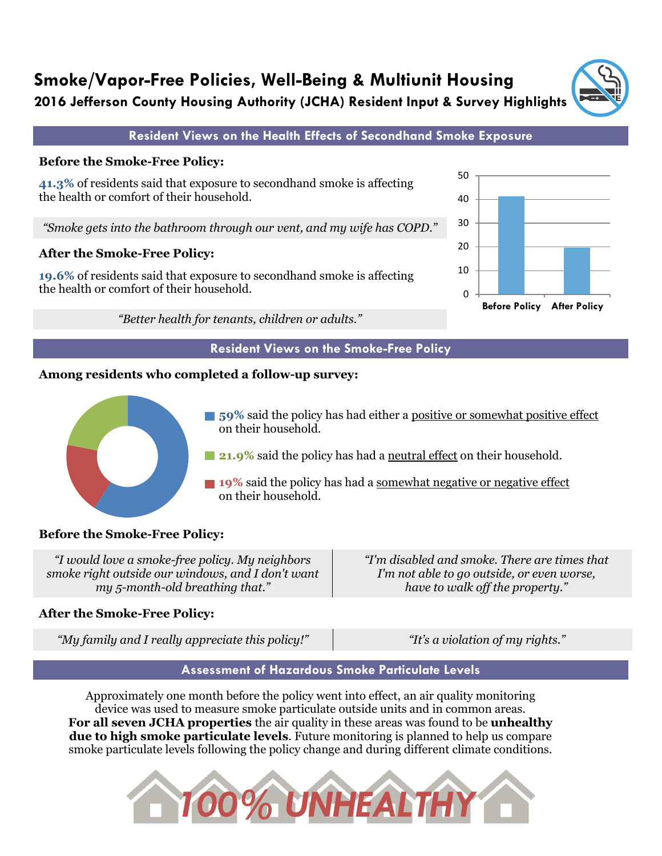

### **Before the Smoke-Free Policy:**



*"Smoke gets into the bathroom through our vent, and my wife has COPD."*

### **After the Smoke-Free Policy:**

**19.6%** of residents said that exposure to secondhand smoke is affecting the health or comfort of their household.

*"Better health for tenants, children or adults."*

#### **Resident Views on the Smoke-Free Policy**

### **Among residents who completed a follow-up survey:**



**59%** said the policy has had either a positive or somewhat positive effect on their household.

**21.9%** said the policy has had a neutral effect on their household.

**19%** said the policy has had a somewhat negative or negative effect on their household.

## **Before the Smoke-Free Policy:**

*"I would love a smoke-free policy. My neighbors smoke right outside our windows, and I don't want my 5-month-old breathing that." "I'm disabled and smoke. There are times that*

# **After the Smoke-Free Policy:**

*"My family and I really appreciate this policy!" "It's a violation of my rights."*

*I'm not able to go outside, or even worse, have to walk off the property."*

## **Assessment of Hazardous Smoke Particulate Levels**

Approximately one month before the policy went into effect, an air quality monitoring device was used to measure smoke particulate outside units and in common areas. **For all seven JCHA properties** the air quality in these areas was found to be **unhealthy due to high smoke particulate levels**. Future monitoring is planned to help us compare smoke particulate levels following the policy change and during different climate conditions.





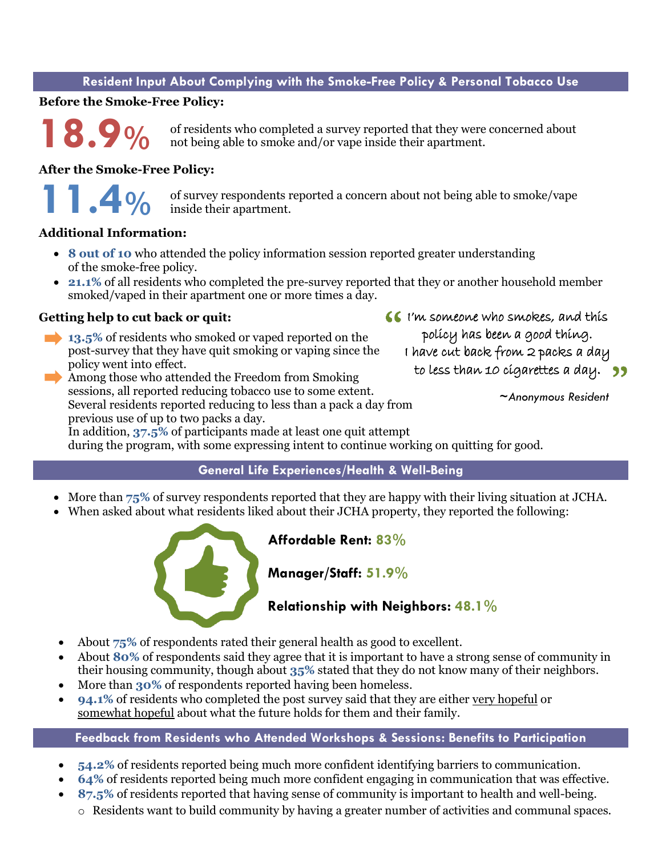#### **Resident Input About Complying with the Smoke-Free Policy & Personal Tobacco Use**

#### **Before the Smoke-Free Policy:**

of residents who completed a survey reported that they were concerned about not being able to smoke and/or vape inside their apartment. **18.9%**

#### **After the Smoke-Free Policy:**

**11.4%**

of survey respondents reported a concern about not being able to smoke/vape inside their apartment.

#### **Additional Information:**

- **8 out of 10** who attended the policy information session reported greater understanding of the smoke-free policy.
- **21.1%** of all residents who completed the pre-survey reported that they or another household member smoked/vaped in their apartment one or more times a day.

#### **Getting help to cut back or quit:**

- **13.5%** of residents who smoked or vaped reported on the post-survey that they have quit smoking or vaping since the policy went into effect.
- Among those who attended the Freedom from Smoking sessions, all reported reducing tobacco use to some extent. Several residents reported reducing to less than a pack a day from previous use of up to two packs a day.

**I'm someone who smokes, and this** policy has been a good thing. I have cut back from 2 packs a day to less than 10 cigarettes a day. 99

 *~Anonymous Resident*

In addition, **37.5%** of participants made at least one quit attempt during the program, with some expressing intent to continue working on quitting for good.

#### **General Life Experiences/Health & Well-Being**

- More than  $75\%$  of survey respondents reported that they are happy with their living situation at JCHA.
- When asked about what residents liked about their JCHA property, they reported the following:



**Affordable Rent: 83%**

## **Manager/Staff: 51.9%**

## **Relationship with Neighbors: 48.1%**

- About **75%** of respondents rated their general health as good to excellent.
- About **80%** of respondents said they agree that it is important to have a strong sense of community in their housing community, though about **35%** stated that they do not know many of their neighbors.
- More than **30%** of respondents reported having been homeless.
- **94.1%** of residents who completed the post survey said that they are either very hopeful or somewhat hopeful about what the future holds for them and their family.

#### **Feedback from Residents who Attended Workshops & Sessions: Benefits to Participation**

- **54.2%** of residents reported being much more confident identifying barriers to communication.
- **64%** of residents reported being much more confident engaging in communication that was effective.
- **87.5%** of residents reported that having sense of community is important to health and well-being.
	- o Residents want to build community by having a greater number of activities and communal spaces.